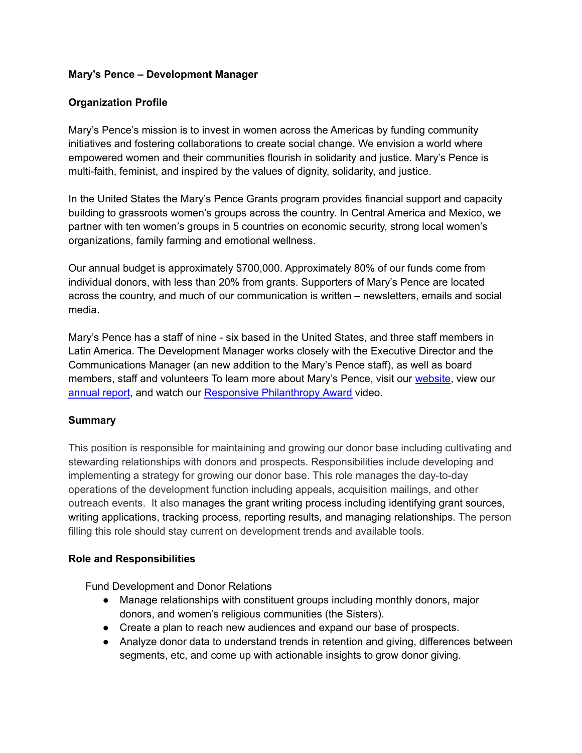## **Mary's Pence – Development Manager**

## **Organization Profile**

Mary's Pence's mission is to invest in women across the Americas by funding community initiatives and fostering collaborations to create social change. We envision a world where empowered women and their communities flourish in solidarity and justice. Mary's Pence is multi-faith, feminist, and inspired by the values of dignity, solidarity, and justice.

In the United States the Mary's Pence Grants program provides financial support and capacity building to grassroots women's groups across the country. In Central America and Mexico, we partner with ten women's groups in 5 countries on economic security, strong local women's organizations, family farming and emotional wellness.

Our annual budget is approximately \$700,000. Approximately 80% of our funds come from individual donors, with less than 20% from grants. Supporters of Mary's Pence are located across the country, and much of our communication is written – newsletters, emails and social media.

Mary's Pence has a staff of nine - six based in the United States, and three staff members in Latin America. The Development Manager works closely with the Executive Director and the Communications Manager (an new addition to the Mary's Pence staff), as well as board members, staff and volunteers To learn more about Mary's Pence, visit our [website](http://www.maryspence.org), view our [annual](https://www.maryspence.org/about/financials/) report, and watch our Responsive [Philanthropy](https://www.youtube.com/watch?v=6sC6hJBzf24&t=2s) Award video.

#### **Summary**

This position is responsible for maintaining and growing our donor base including cultivating and stewarding relationships with donors and prospects. Responsibilities include developing and implementing a strategy for growing our donor base. This role manages the day-to-day operations of the development function including appeals, acquisition mailings, and other outreach events. It also manages the grant writing process including identifying grant sources, writing applications, tracking process, reporting results, and managing relationships. The person filling this role should stay current on development trends and available tools.

#### **Role and Responsibilities**

Fund Development and Donor Relations

- Manage relationships with constituent groups including monthly donors, major donors, and women's religious communities (the Sisters).
- Create a plan to reach new audiences and expand our base of prospects.
- Analyze donor data to understand trends in retention and giving, differences between segments, etc, and come up with actionable insights to grow donor giving.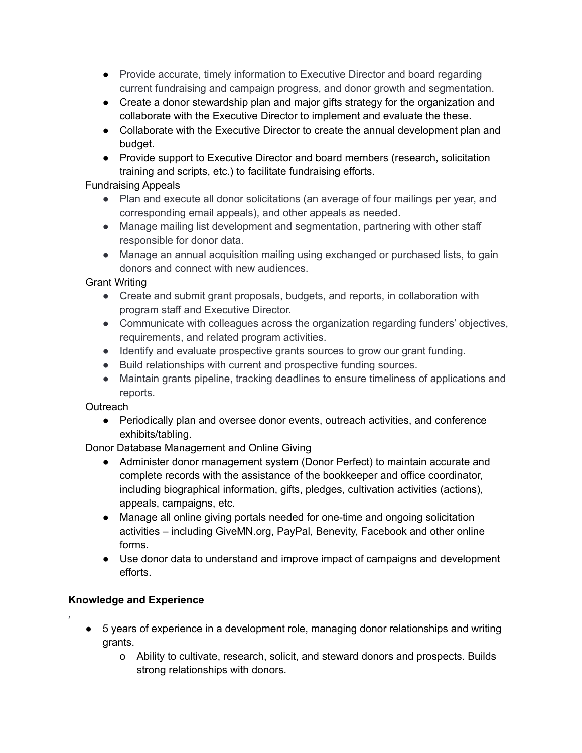- Provide accurate, timely information to Executive Director and board regarding current fundraising and campaign progress, and donor growth and segmentation.
- Create a donor stewardship plan and major gifts strategy for the organization and collaborate with the Executive Director to implement and evaluate the these.
- Collaborate with the Executive Director to create the annual development plan and budget.
- Provide support to Executive Director and board members (research, solicitation training and scripts, etc.) to facilitate fundraising efforts.

# Fundraising Appeals

- Plan and execute all donor solicitations (an average of four mailings per year, and corresponding email appeals), and other appeals as needed.
- Manage mailing list development and segmentation, partnering with other staff responsible for donor data.
- Manage an annual acquisition mailing using exchanged or purchased lists, to gain donors and connect with new audiences.

# Grant Writing

- Create and submit grant proposals, budgets, and reports, in collaboration with program staff and Executive Director.
- Communicate with colleagues across the organization regarding funders' objectives, requirements, and related program activities.
- Identify and evaluate prospective grants sources to grow our grant funding.
- Build relationships with current and prospective funding sources.
- Maintain grants pipeline, tracking deadlines to ensure timeliness of applications and reports.

# **Outreach**

● Periodically plan and oversee donor events, outreach activities, and conference exhibits/tabling.

Donor Database Management and Online Giving

- Administer donor management system (Donor Perfect) to maintain accurate and complete records with the assistance of the bookkeeper and office coordinator, including biographical information, gifts, pledges, cultivation activities (actions), appeals, campaigns, etc.
- Manage all online giving portals needed for one-time and ongoing solicitation activities – including GiveMN.org, PayPal, Benevity, Facebook and other online forms.
- Use donor data to understand and improve impact of campaigns and development efforts.

# **Knowledge and Experience**

*,*

- 5 years of experience in a development role, managing donor relationships and writing grants.
	- o Ability to cultivate, research, solicit, and steward donors and prospects. Builds strong relationships with donors.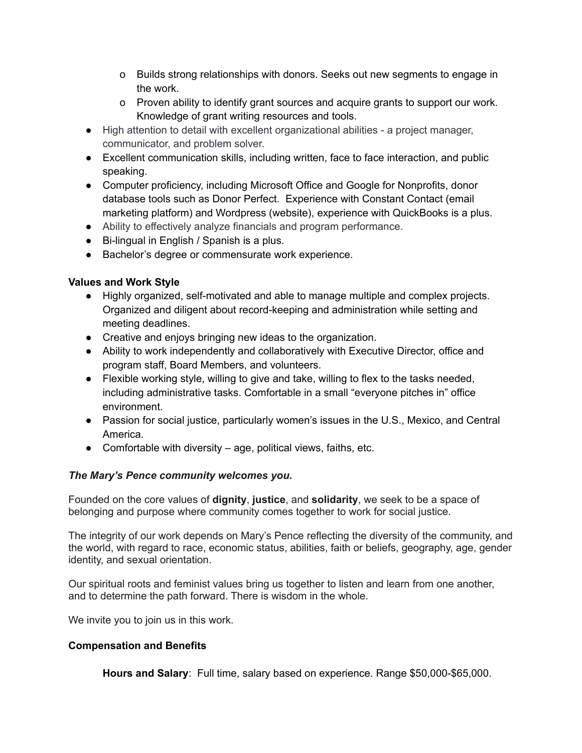- o Builds strong relationships with donors. Seeks out new segments to engage in the work.
- o Proven ability to identify grant sources and acquire grants to support our work. Knowledge of grant writing resources and tools.
- High attention to detail with excellent organizational abilities a project manager, communicator, and problem solver.
- Excellent communication skills, including written, face to face interaction, and public speaking.
- Computer proficiency, including Microsoft Office and Google for Nonprofits, donor database tools such as Donor Perfect. Experience with Constant Contact (email marketing platform) and Wordpress (website), experience with QuickBooks is a plus.
- Ability to effectively analyze financials and program performance.
- Bi-lingual in English / Spanish is a plus.
- Bachelor's degree or commensurate work experience.

## **Values and Work Style**

- Highly organized, self-motivated and able to manage multiple and complex projects. Organized and diligent about record-keeping and administration while setting and meeting deadlines.
- Creative and enjoys bringing new ideas to the organization.
- Ability to work independently and collaboratively with Executive Director, office and program staff, Board Members, and volunteers.
- Flexible working style, willing to give and take, willing to flex to the tasks needed, including administrative tasks. Comfortable in a small "everyone pitches in" office environment.
- Passion for social justice, particularly women's issues in the U.S., Mexico, and Central America.
- $\bullet$  Comfortable with diversity age, political views, faiths, etc.

# *The Mary's Pence community welcomes you.*

Founded on the core values of **dignity**, **justice**, and **solidarity**, we seek to be a space of belonging and purpose where community comes together to work for social justice.

The integrity of our work depends on Mary's Pence reflecting the diversity of the community, and the world, with regard to race, economic status, abilities, faith or beliefs, geography, age, gender identity, and sexual orientation.

Our spiritual roots and feminist values bring us together to listen and learn from one another, and to determine the path forward. There is wisdom in the whole.

We invite you to join us in this work.

#### **Compensation and Benefits**

**Hours and Salary**: Full time, salary based on experience. Range \$50,000-\$65,000.